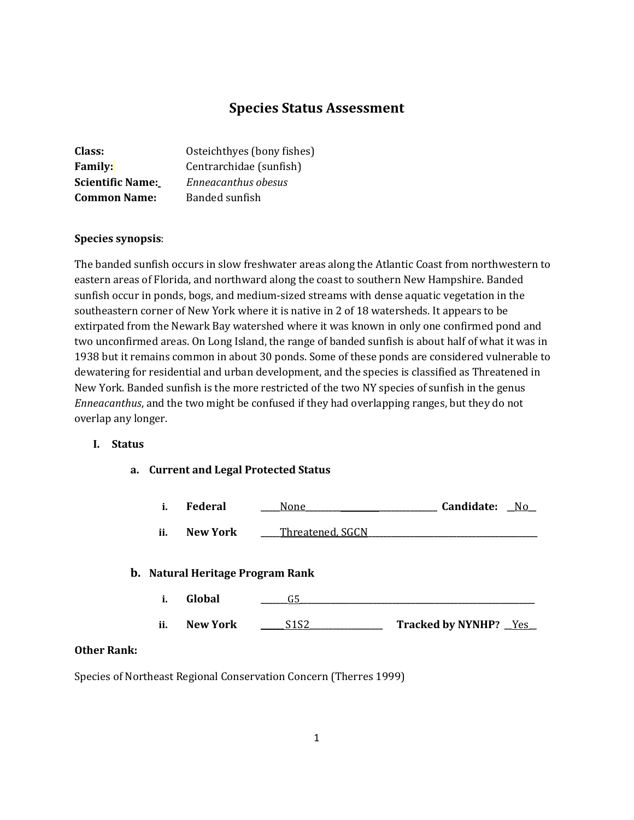# **Species Status Assessment**

| Class:                  | Osteichthyes (bony fishes) |
|-------------------------|----------------------------|
| <b>Family:</b>          | Centrarchidae (sunfish)    |
| <b>Scientific Name:</b> | Enneacanthus obesus        |
| <b>Common Name:</b>     | Banded sunfish             |

#### **Species synopsis**:

The banded sunfish occurs in slow freshwater areas along the Atlantic Coast from northwestern to eastern areas of Florida, and northward along the coast to southern New Hampshire. Banded sunfish occur in ponds, bogs, and medium-sized streams with dense aquatic vegetation in the southeastern corner of New York where it is native in 2 of 18 watersheds. It appears to be extirpated from the Newark Bay watershed where it was known in only one confirmed pond and two unconfirmed areas. On Long Island, the range of banded sunfish is about half of what it was in 1938 but it remains common in about 30 ponds. Some of these ponds are considered vulnerable to dewatering for residential and urban development, and the species is classified as Threatened in New York. Banded sunfish is the more restricted of the two NY species of sunfish in the genus *Enneacanthus*, and the two might be confused if they had overlapping ranges, but they do not overlap any longer.

## **I. Status**

**a. Current and Legal Protected Status**

|     | <b>Federal</b>  | None             | Candidate: | No |
|-----|-----------------|------------------|------------|----|
| ii. | <b>New York</b> | Threatened, SGCN |            |    |

#### **b. Natural Heritage Program Rank**

**i. Global \_\_\_\_\_\_\_**G5**\_\_\_\_\_\_\_\_\_\_\_\_\_\_\_\_\_\_\_\_\_\_\_\_\_\_\_\_\_\_\_\_\_\_\_\_\_\_\_\_\_\_\_\_\_\_\_\_\_\_\_\_\_\_\_\_\_\_\_\_\_ ii. New York \_\_\_\_\_\_** S1S2**\_\_\_\_\_\_\_\_\_\_\_\_\_\_\_\_\_\_\_ Tracked by NYNHP? \_\_**Yes**\_\_**

#### **Other Rank:**

Species of Northeast Regional Conservation Concern (Therres 1999)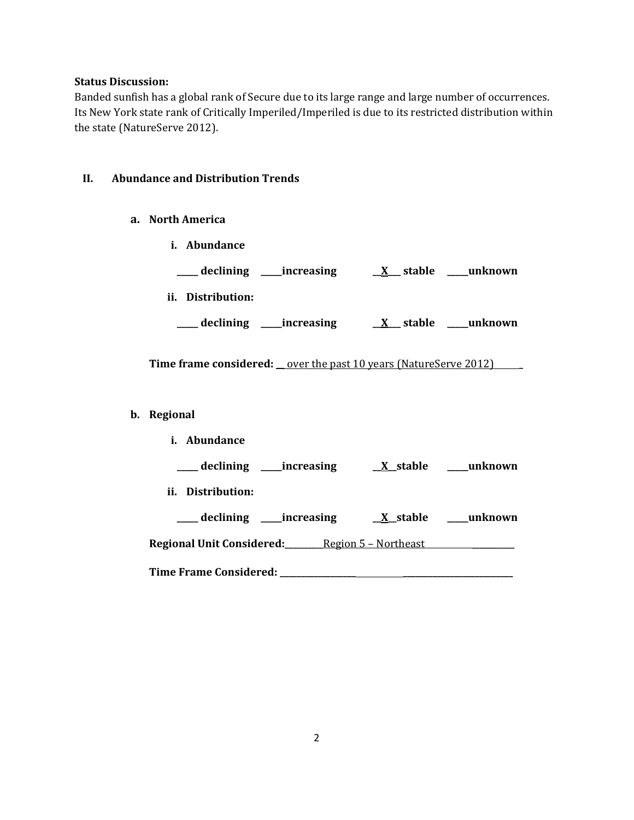## **Status Discussion:**

Banded sunfish has a global rank of Secure due to its large range and large number of occurrences. Its New York state rank of Critically Imperiled/Imperiled is due to its restricted distribution within the state (NatureServe 2012).

# **II. Abundance and Distribution Trends**

- **a. North America**
	- **i. Abundance**

| declining         | _increasing | stable<br>X            | unknown_ |
|-------------------|-------------|------------------------|----------|
| ii. Distribution: |             |                        |          |
| declining         | increasing  | stable<br>$\mathbf{X}$ | unknown  |

**Time frame considered: \_\_** over the past 10 years (NatureServe 2012) **\_**

## **b. Regional**

| <i>i.</i> Abundance                                   |  |
|-------------------------------------------------------|--|
| ____ declining ______increasing                       |  |
| ii. Distribution:                                     |  |
| ___ declining ____increasing                          |  |
| <b>Regional Unit Considered:</b> Region 5 - Northeast |  |
| Time Frame Considered: _______________                |  |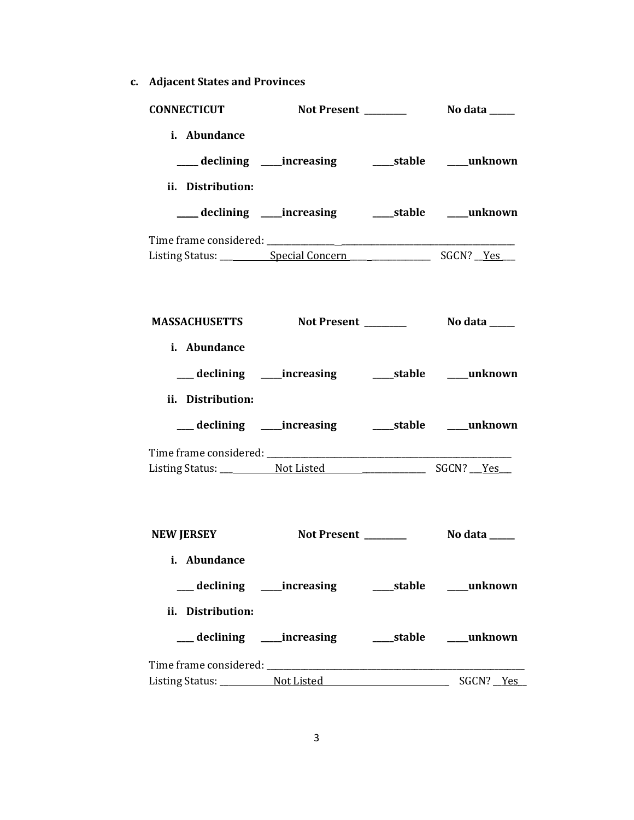**c. Adjacent States and Provinces**

| <b>CONNECTICUT</b> |                                                          |  |
|--------------------|----------------------------------------------------------|--|
| i. Abundance       |                                                          |  |
|                    |                                                          |  |
| ii. Distribution:  |                                                          |  |
|                    |                                                          |  |
|                    |                                                          |  |
|                    |                                                          |  |
|                    |                                                          |  |
|                    |                                                          |  |
| i. Abundance       |                                                          |  |
|                    | __ declining ____increasing ______stable ____unknown     |  |
| ii. Distribution:  |                                                          |  |
|                    | __ declining ____ increasing ______ stable _____ unknown |  |
|                    |                                                          |  |
|                    |                                                          |  |
|                    |                                                          |  |
| <b>NEW JERSEY</b>  |                                                          |  |
| i. Abundance       |                                                          |  |
|                    | __declining ___increasing ____stable ___unknown          |  |
| ii. Distribution:  |                                                          |  |
|                    |                                                          |  |
|                    |                                                          |  |
|                    |                                                          |  |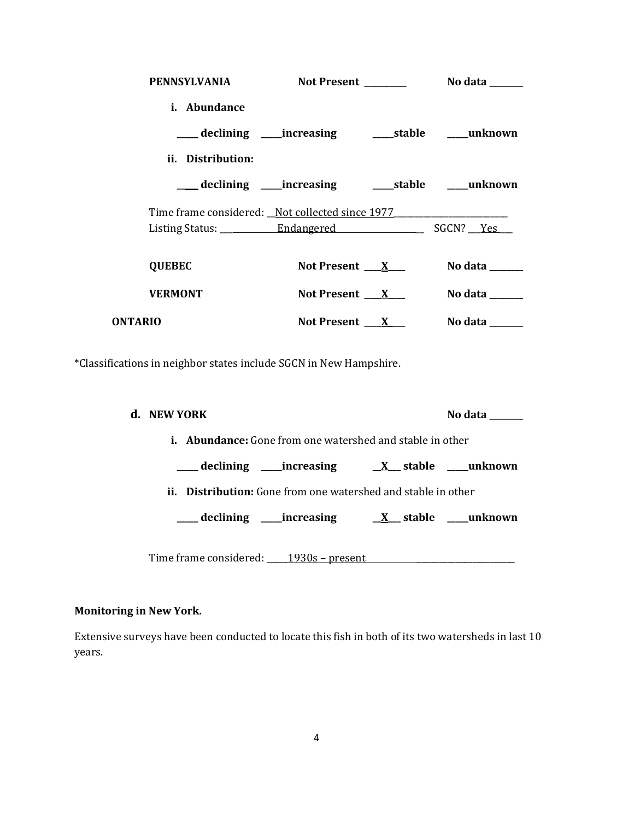|         | PENNSYLVANIA                                    | Not Present ________                                       | No data $\_\_\_\_\_\_\_\_\_\_\$ |
|---------|-------------------------------------------------|------------------------------------------------------------|---------------------------------|
|         | i. Abundance                                    |                                                            |                                 |
|         |                                                 | ___ declining ____ increasing _______ stable _____ unknown |                                 |
|         | ii. Distribution:                               |                                                            |                                 |
|         |                                                 | __declining ____increasing ______stable ____unknown        |                                 |
|         | Time frame considered: Not collected since 1977 |                                                            |                                 |
|         |                                                 |                                                            |                                 |
|         | <b>QUEBEC</b>                                   | Not Present $\mathbf{X}$                                   | No data _______                 |
|         | <b>VERMONT</b>                                  | Not Present $\mathbf{X}$                                   | No data _______                 |
| ONTARIO |                                                 | Not Present $\mathbf{X}$                                   | No data $\_\_\_\_\_\_\_\_\_\_\$ |
|         |                                                 |                                                            |                                 |

\*Classifications in neighbor states include SGCN in New Hampshire.

| d. NEW YORK                                                          |                                                                  | No data |
|----------------------------------------------------------------------|------------------------------------------------------------------|---------|
|                                                                      | <b>i.</b> Abundance: Gone from one watershed and stable in other |         |
|                                                                      |                                                                  |         |
| <b>ii.</b> Distribution: Gone from one watershed and stable in other |                                                                  |         |
|                                                                      |                                                                  |         |
|                                                                      |                                                                  |         |
| Time frame considered: 1930s – present                               |                                                                  |         |

# **Monitoring in New York.**

Extensive surveys have been conducted to locate this fish in both of its two watersheds in last 10 years.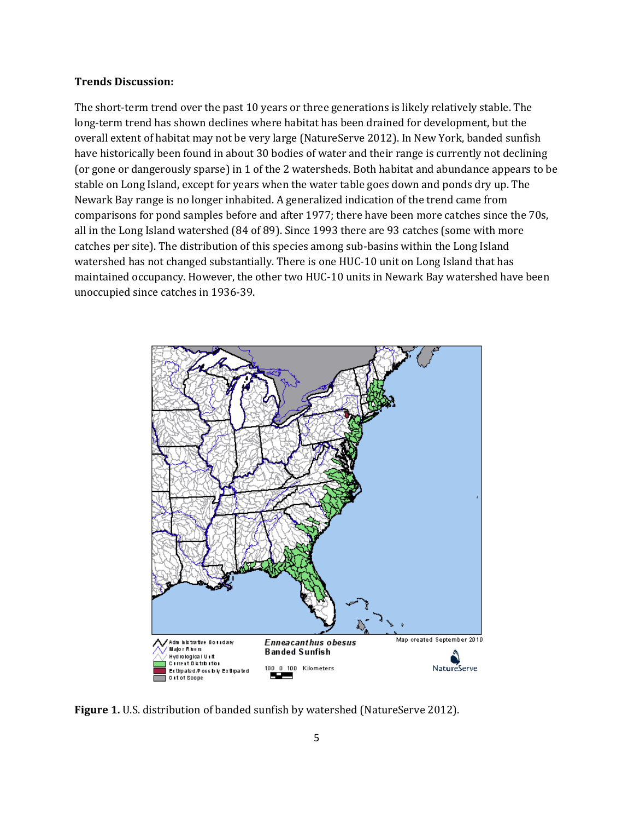#### **Trends Discussion:**

The short-term trend over the past 10 years or three generations is likely relatively stable. The long-term trend has shown declines where habitat has been drained for development, but the overall extent of habitat may not be very large (NatureServe 2012). In New York, banded sunfish have historically been found in about 30 bodies of water and their range is currently not declining (or gone or dangerously sparse) in 1 of the 2 watersheds. Both habitat and abundance appears to be stable on Long Island, except for years when the water table goes down and ponds dry up. The Newark Bay range is no longer inhabited. A generalized indication of the trend came from comparisons for pond samples before and after 1977; there have been more catches since the 70s, all in the Long Island watershed (84 of 89). Since 1993 there are 93 catches (some with more catches per site). The distribution of this species among sub-basins within the Long Island watershed has not changed substantially. There is one HUC-10 unit on Long Island that has maintained occupancy. However, the other two HUC-10 units in Newark Bay watershed have been unoccupied since catches in 1936-39.



Figure 1. U.S. distribution of banded sunfish by watershed (NatureServe 2012).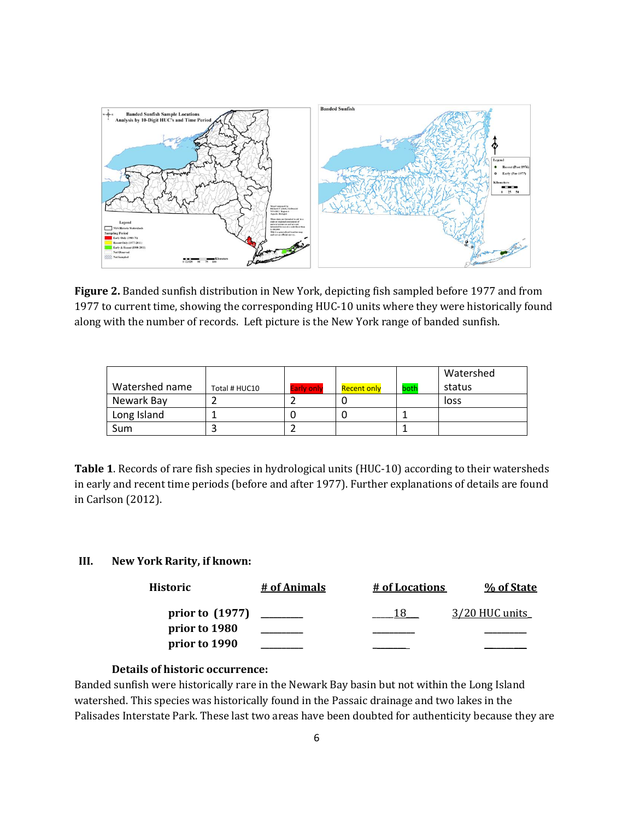

**Figure 2.** Banded sunfish distribution in New York, depicting fish sampled before 1977 and from 1977 to current time, showing the corresponding HUC-10 units where they were historically found along with the number of records. Left picture is the New York range of banded sunfish.

|                |               |                   |             |      | Watershed |
|----------------|---------------|-------------------|-------------|------|-----------|
| Watershed name | Total # HUC10 | <b>Early only</b> | Recent only | both | status    |
| Newark Bay     |               |                   |             |      | loss      |
| Long Island    |               |                   |             |      |           |
| <b>Sum</b>     |               |                   |             |      |           |

**Table 1**. Records of rare fish species in hydrological units (HUC-10) according to their watersheds in early and recent time periods (before and after 1977). Further explanations of details are found in Carlson (2012).

## **III. New York Rarity, if known:**

| Historic          | # of Animals | # of Locations | % of State     |
|-------------------|--------------|----------------|----------------|
| prior to $(1977)$ |              |                | 3/20 HUC units |
| prior to 1980     |              |                |                |
| prior to 1990     |              |                |                |

## **Details of historic occurrence:**

Banded sunfish were historically rare in the Newark Bay basin but not within the Long Island watershed. This species was historically found in the Passaic drainage and two lakes in the Palisades Interstate Park. These last two areas have been doubted for authenticity because they are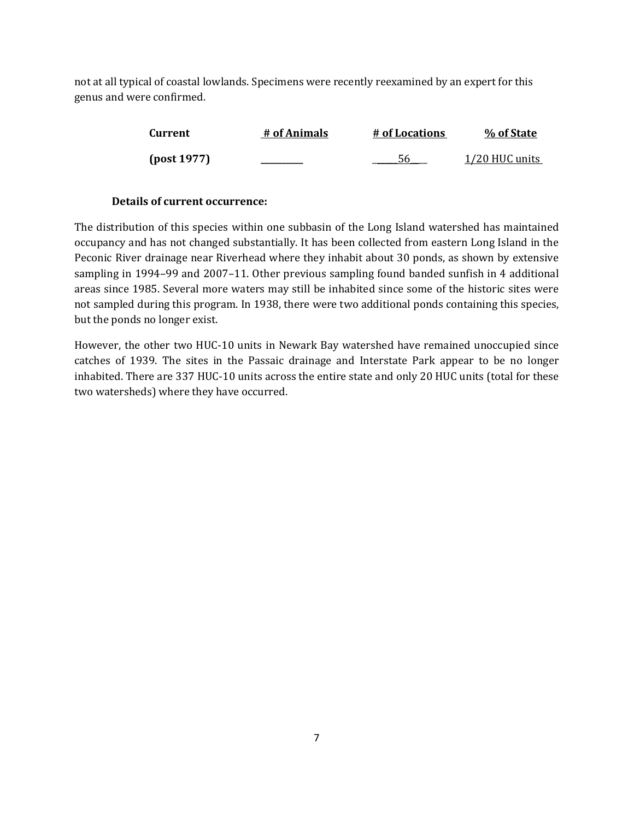not at all typical of coastal lowlands. Specimens were recently reexamined by an expert for this genus and were confirmed.

| Current     | # of Animals | # of Locations | % of State     |
|-------------|--------------|----------------|----------------|
| [post 1977] |              | 56             | 1/20 HUC units |

## **Details of current occurrence:**

The distribution of this species within one subbasin of the Long Island watershed has maintained occupancy and has not changed substantially. It has been collected from eastern Long Island in the Peconic River drainage near Riverhead where they inhabit about 30 ponds, as shown by extensive sampling in 1994–99 and 2007–11. Other previous sampling found banded sunfish in 4 additional areas since 1985. Several more waters may still be inhabited since some of the historic sites were not sampled during this program. In 1938, there were two additional ponds containing this species, but the ponds no longer exist.

However, the other two HUC-10 units in Newark Bay watershed have remained unoccupied since catches of 1939. The sites in the Passaic drainage and Interstate Park appear to be no longer inhabited. There are 337 HUC-10 units across the entire state and only 20 HUC units (total for these two watersheds) where they have occurred.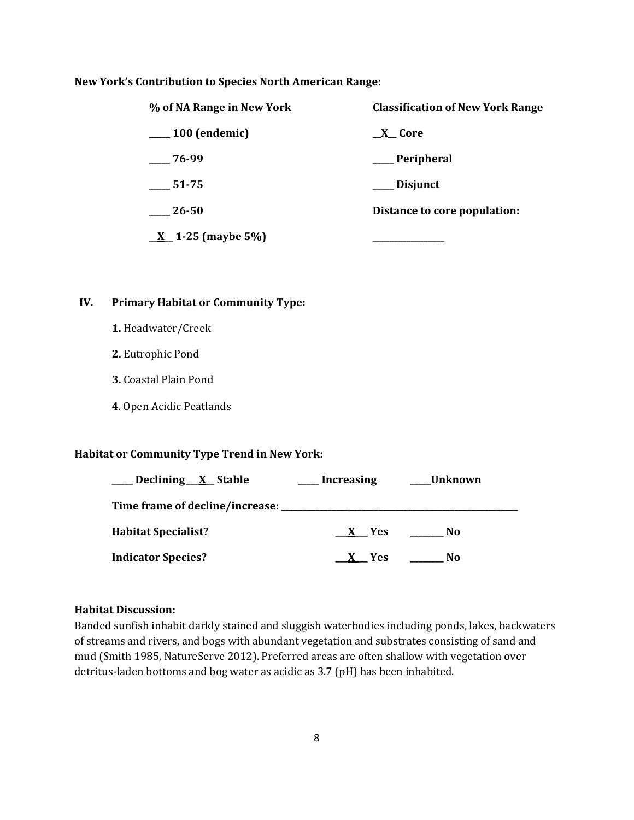### **New York's Contribution to Species North American Range:**

| % of NA Range in New York | <b>Classification of New York Range</b> |  |  |
|---------------------------|-----------------------------------------|--|--|
| $\frac{100}{2}$ (endemic) | $X$ Core                                |  |  |
| 76-99                     | __ Peripheral                           |  |  |
| $\frac{1}{2}$ 51-75       | ___ Disjunct                            |  |  |
| 26-50                     | Distance to core population:            |  |  |
| $X_1-25$ (maybe 5%)       |                                         |  |  |

# **IV. Primary Habitat or Community Type:**

- **1.** Headwater/Creek
- **2.** Eutrophic Pond
- **3.** Coastal Plain Pond
- **4**. Open Acidic Peatlands

### **Habitat or Community Type Trend in New York:**

| Declining <u>X</u> Stable             | Increasing | Unknown |
|---------------------------------------|------------|---------|
| Time frame of decline/increase: _____ |            |         |
| <b>Habitat Specialist?</b>            | X Yes      | No      |
| <b>Indicator Species?</b>             | X Yes      | Nο      |

#### **Habitat Discussion:**

Banded sunfish inhabit darkly stained and sluggish waterbodies including ponds, lakes, backwaters of streams and rivers, and bogs with abundant vegetation and substrates consisting of sand and mud (Smith 1985, NatureServe 2012). Preferred areas are often shallow with vegetation over detritus-laden bottoms and bog water as acidic as 3.7 (pH) has been inhabited.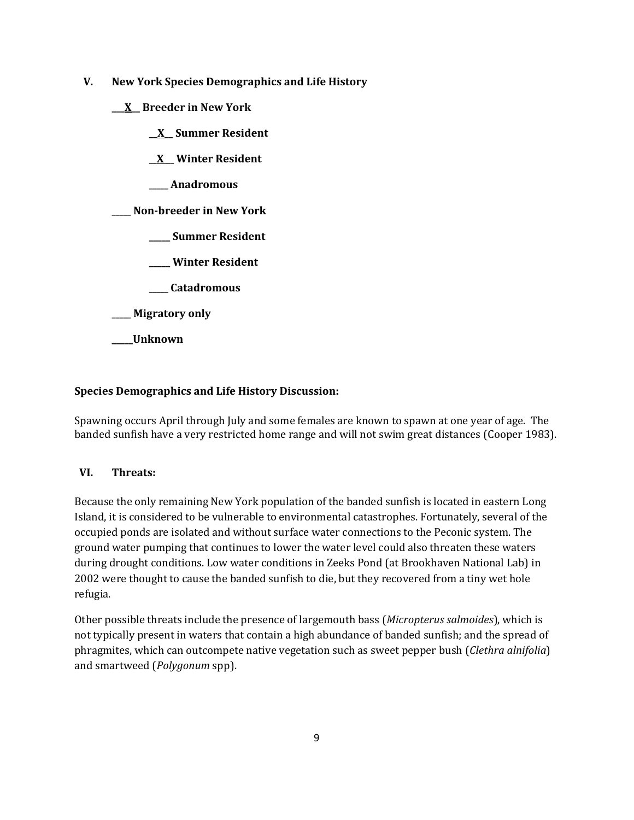- **V. New York Species Demographics and Life History**
	- **\_\_\_X\_\_ Breeder in New York**
		- **\_\_X\_\_ Summer Resident**
		- **\_\_X \_\_ Winter Resident**
		- **\_\_\_\_\_ Anadromous**

**\_\_\_\_\_ Non-breeder in New York**

- **\_\_\_\_\_ Summer Resident**
- **\_\_\_\_\_ Winter Resident**
- **\_\_\_\_\_ Catadromous**
- **\_\_\_\_\_ Migratory only**
- **\_\_\_\_\_Unknown**

## **Species Demographics and Life History Discussion:**

Spawning occurs April through July and some females are known to spawn at one year of age. The banded sunfish have a very restricted home range and will not swim great distances (Cooper 1983).

## **VI. Threats:**

Because the only remaining New York population of the banded sunfish is located in eastern Long Island, it is considered to be vulnerable to environmental catastrophes. Fortunately, several of the occupied ponds are isolated and without surface water connections to the Peconic system. The ground water pumping that continues to lower the water level could also threaten these waters during drought conditions. Low water conditions in Zeeks Pond (at Brookhaven National Lab) in 2002 were thought to cause the banded sunfish to die, but they recovered from a tiny wet hole refugia.

Other possible threats include the presence of largemouth bass (*Micropterus salmoides*), which is not typically present in waters that contain a high abundance of banded sunfish; and the spread of phragmites, which can outcompete native vegetation such as sweet pepper bush (*Clethra alnifolia*) and smartweed (*Polygonum* spp).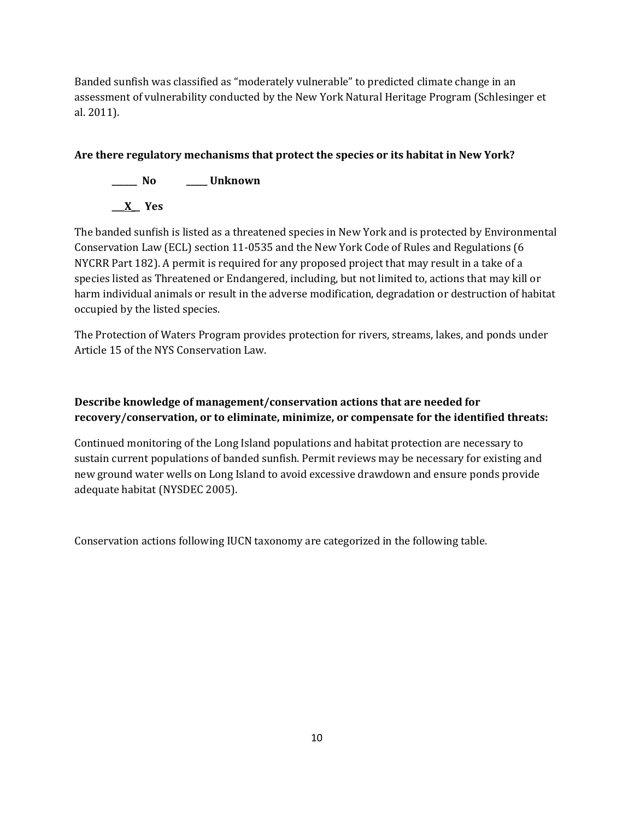Banded sunfish was classified as "moderately vulnerable" to predicted climate change in an assessment of vulnerability conducted by the New York Natural Heritage Program (Schlesinger et al. 2011).

# **Are there regulatory mechanisms that protect the species or its habitat in New York?**

**\_\_\_\_\_\_ No \_\_\_\_\_ Unknown**

**\_\_\_X\_\_ Yes** 

The banded sunfish is listed as a threatened species in New York and is protected by Environmental Conservation Law (ECL) section 11-0535 and the New York Code of Rules and Regulations (6 NYCRR Part 182). A permit is required for any proposed project that may result in a take of a species listed as Threatened or Endangered, including, but not limited to, actions that may kill or harm individual animals or result in the adverse modification, degradation or destruction of habitat occupied by the listed species.

The Protection of Waters Program provides protection for rivers, streams, lakes, and ponds under Article 15 of the NYS Conservation Law.

# **Describe knowledge of management/conservation actions that are needed for recovery/conservation, or to eliminate, minimize, or compensate for the identified threats:**

Continued monitoring of the Long Island populations and habitat protection are necessary to sustain current populations of banded sunfish. Permit reviews may be necessary for existing and new ground water wells on Long Island to avoid excessive drawdown and ensure ponds provide adequate habitat (NYSDEC 2005).

Conservation actions following IUCN taxonomy are categorized in the following table.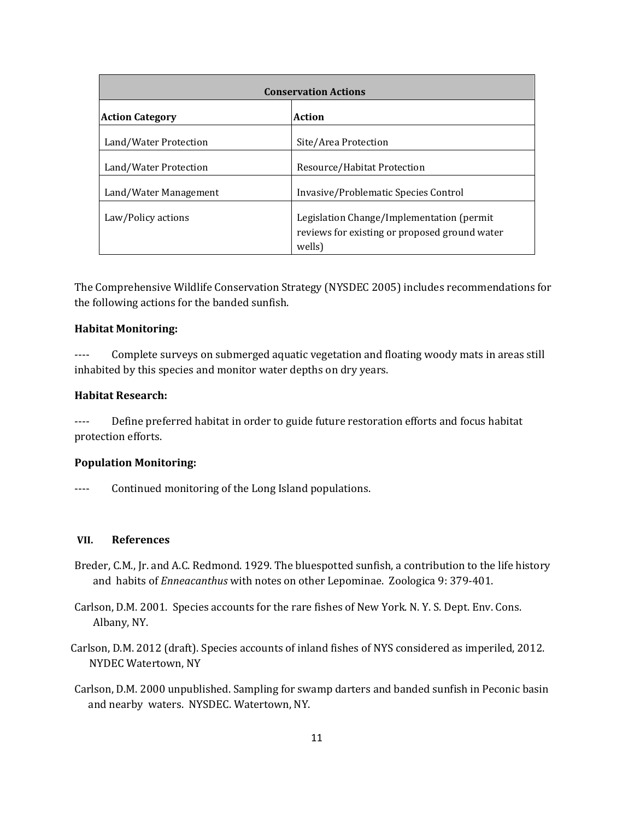| <b>Conservation Actions</b> |                                                                                                       |
|-----------------------------|-------------------------------------------------------------------------------------------------------|
| <b>Action Category</b>      | <b>Action</b>                                                                                         |
| Land/Water Protection       | Site/Area Protection                                                                                  |
| Land/Water Protection       | Resource/Habitat Protection                                                                           |
| Land/Water Management       | Invasive/Problematic Species Control                                                                  |
| Law/Policy actions          | Legislation Change/Implementation (permit)<br>reviews for existing or proposed ground water<br>wells) |

The Comprehensive Wildlife Conservation Strategy (NYSDEC 2005) includes recommendations for the following actions for the banded sunfish.

### **Habitat Monitoring:**

---- Complete surveys on submerged aquatic vegetation and floating woody mats in areas still inhabited by this species and monitor water depths on dry years.

## **Habitat Research:**

---- Define preferred habitat in order to guide future restoration efforts and focus habitat protection efforts.

### **Population Monitoring:**

---- Continued monitoring of the Long Island populations.

#### **VII. References**

- Breder, C.M., Jr. and A.C. Redmond. 1929. The bluespotted sunfish, a contribution to the life history and habits of *Enneacanthus* with notes on other Lepominae. Zoologica 9: 379-401.
- Carlson, D.M. 2001. Species accounts for the rare fishes of New York. N. Y. S. Dept. Env. Cons. Albany, NY.
- Carlson, D.M. 2012 (draft). Species accounts of inland fishes of NYS considered as imperiled, 2012. NYDEC Watertown, NY
- Carlson, D.M. 2000 unpublished. Sampling for swamp darters and banded sunfish in Peconic basin and nearby waters. NYSDEC. Watertown, NY.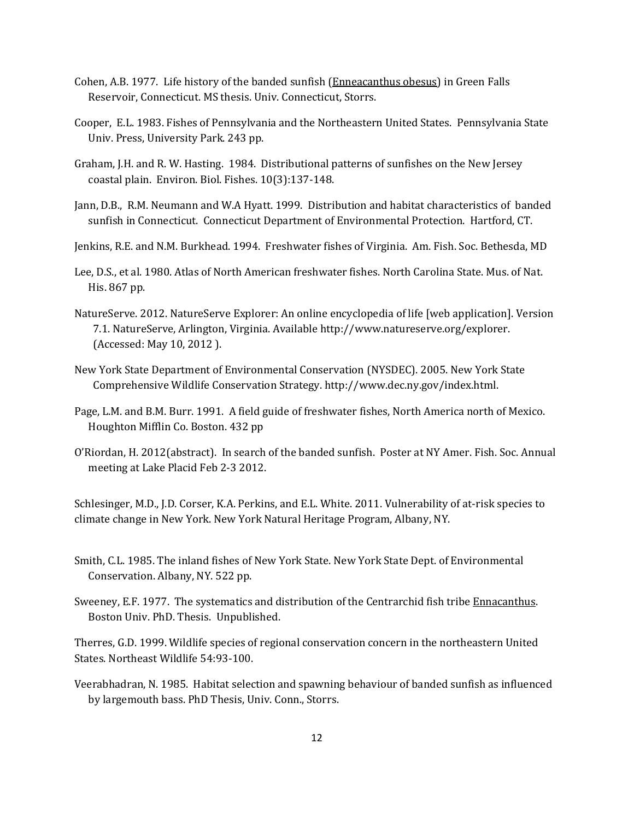- Cohen, A.B. 1977. Life history of the banded sunfish (Enneacanthus obesus) in Green Falls Reservoir, Connecticut. MS thesis. Univ. Connecticut, Storrs.
- Cooper, E.L. 1983. Fishes of Pennsylvania and the Northeastern United States. Pennsylvania State Univ. Press, University Park. 243 pp.
- Graham, J.H. and R. W. Hasting. 1984. Distributional patterns of sunfishes on the New Jersey coastal plain. Environ. Biol. Fishes. 10(3):137-148.
- Jann, D.B., R.M. Neumann and W.A Hyatt. 1999. Distribution and habitat characteristics of banded sunfish in Connecticut. Connecticut Department of Environmental Protection. Hartford, CT.
- Jenkins, R.E. and N.M. Burkhead. 1994. Freshwater fishes of Virginia. Am. Fish. Soc. Bethesda, MD
- Lee, D.S., et al. 1980. Atlas of North American freshwater fishes. North Carolina State. Mus. of Nat. His. 867 pp.
- NatureServe. 2012. NatureServe Explorer: An online encyclopedia of life [web application]. Version 7.1. NatureServe, Arlington, Virginia. Available http://www.natureserve.org/explorer. (Accessed: May 10, 2012 ).
- New York State Department of Environmental Conservation (NYSDEC). 2005. New York State Comprehensive Wildlife Conservation Strategy. http://www.dec.ny.gov/index.html.
- Page, L.M. and B.M. Burr. 1991. A field guide of freshwater fishes, North America north of Mexico. Houghton Mifflin Co. Boston. 432 pp
- O'Riordan, H. 2012(abstract). In search of the banded sunfish. Poster at NY Amer. Fish. Soc. Annual meeting at Lake Placid Feb 2-3 2012.

Schlesinger, M.D., J.D. Corser, K.A. Perkins, and E.L. White. 2011. Vulnerability of at-risk species to climate change in New York. New York Natural Heritage Program, Albany, NY.

- Smith, C.L. 1985. The inland fishes of New York State. New York State Dept. of Environmental Conservation. Albany, NY. 522 pp.
- Sweeney, E.F. 1977. The systematics and distribution of the Centrarchid fish tribe Ennacanthus. Boston Univ. PhD. Thesis. Unpublished.

Therres, G.D. 1999. Wildlife species of regional conservation concern in the northeastern United States. Northeast Wildlife 54:93-100.

Veerabhadran, N. 1985. Habitat selection and spawning behaviour of banded sunfish as influenced by largemouth bass. PhD Thesis, Univ. Conn., Storrs.